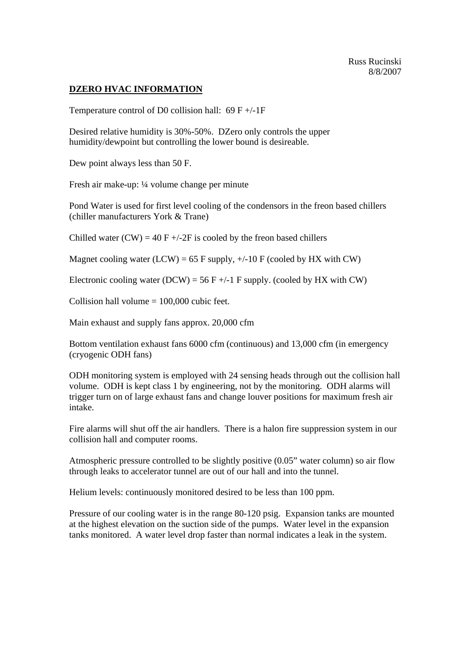## **DZERO HVAC INFORMATION**

Temperature control of D0 collision hall:  $69 F +/-1F$ 

Desired relative humidity is 30%-50%. DZero only controls the upper humidity/dewpoint but controlling the lower bound is desireable.

Dew point always less than 50 F.

Fresh air make-up: ¼ volume change per minute

Pond Water is used for first level cooling of the condensors in the freon based chillers (chiller manufacturers York & Trane)

Chilled water  $(CW) = 40 F + (-2F)$  is cooled by the freon based chillers

Magnet cooling water (LCW) = 65 F supply,  $+/-10$  F (cooled by HX with CW)

Electronic cooling water (DCW) = 56 F +/-1 F supply. (cooled by HX with CW)

Collision hall volume  $= 100,000$  cubic feet.

Main exhaust and supply fans approx. 20,000 cfm

Bottom ventilation exhaust fans 6000 cfm (continuous) and 13,000 cfm (in emergency (cryogenic ODH fans)

ODH monitoring system is employed with 24 sensing heads through out the collision hall volume. ODH is kept class 1 by engineering, not by the monitoring. ODH alarms will trigger turn on of large exhaust fans and change louver positions for maximum fresh air intake.

Fire alarms will shut off the air handlers. There is a halon fire suppression system in our collision hall and computer rooms.

Atmospheric pressure controlled to be slightly positive (0.05" water column) so air flow through leaks to accelerator tunnel are out of our hall and into the tunnel.

Helium levels: continuously monitored desired to be less than 100 ppm.

Pressure of our cooling water is in the range 80-120 psig. Expansion tanks are mounted at the highest elevation on the suction side of the pumps. Water level in the expansion tanks monitored. A water level drop faster than normal indicates a leak in the system.